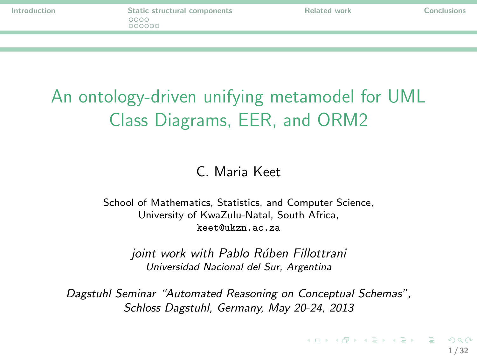# An ontology-driven unifying metamodel for UML Class Diagrams, EER, and ORM2

#### <span id="page-0-0"></span>C. Maria Keet

School of Mathematics, Statistics, and Computer Science, University of KwaZulu-Natal, South Africa, keet@ukzn.ac.za

joint work with Pablo Rúben Fillottrani Universidad Nacional del Sur, Argentina

Dagstuhl Seminar "Automated Reasoning on Conceptual Schemas", Schloss Dagstuhl, Germany, May 20-24, 2013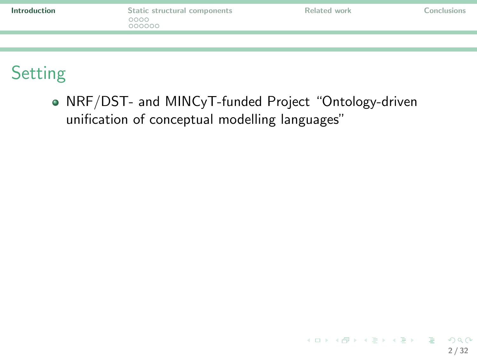| Introduction | Static structural components<br>0000 | Related work | Conclusions |
|--------------|--------------------------------------|--------------|-------------|
|              |                                      |              |             |
|              |                                      |              |             |

# Setting

<span id="page-1-0"></span>NRF/DST- and MINCyT-funded Project "Ontology-driven unification of conceptual modelling languages"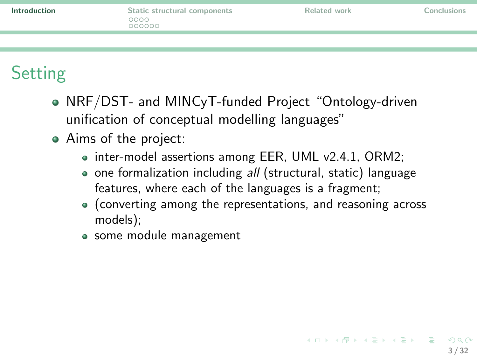| Introduction | Static structural components | Related work | Conclusions |
|--------------|------------------------------|--------------|-------------|
|              |                              |              |             |

# **Setting**

- NRF/DST- and MINCyT-funded Project "Ontology-driven unification of conceptual modelling languages"
- Aims of the project:
	- inter-model assertions among EER, UML v2.4.1, ORM2;
	- o one formalization including all (structural, static) language features, where each of the languages is a fragment;
	- (converting among the representations, and reasoning across models);
	- some module management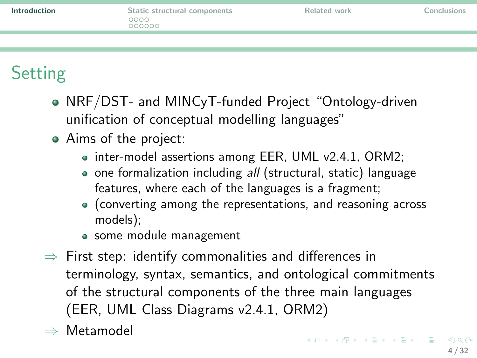| Introduction | Static structural components<br>0000<br>000000 | Related work | Conclusions |
|--------------|------------------------------------------------|--------------|-------------|
|              |                                                |              |             |

# **Setting**

- NRF/DST- and MINCyT-funded Project "Ontology-driven unification of conceptual modelling languages"
- Aims of the project:
	- inter-model assertions among EER, UML v2.4.1, ORM2;
	- o one formalization including all (structural, static) language features, where each of the languages is a fragment;
	- (converting among the representations, and reasoning across models);
	- some module management
- $\Rightarrow$  First step: identify commonalities and differences in terminology, syntax, semantics, and ontological commitments of the structural components of the three main languages (EER, UML Class Diagrams v2.4.1, ORM2)
- <span id="page-3-0"></span>⇒ Metamodel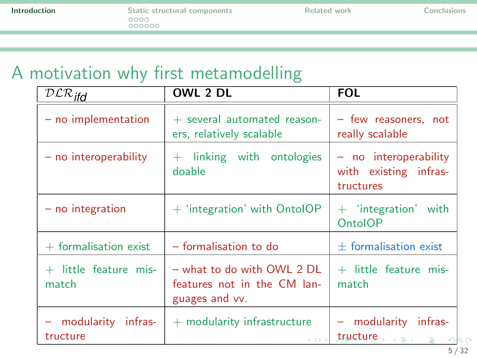# A motivation why first metamodelling

| $\overline{D}\mathcal{LR}_{ifd}$ | OWL 2 DL                                                                      | <b>FOL</b>                                                    |
|----------------------------------|-------------------------------------------------------------------------------|---------------------------------------------------------------|
| $-$ no implementation            | $+$ several automated reason-<br>ers, relatively scalable                     | - few reasoners, not<br>really scalable                       |
| $-$ no interoperability          | $+$ linking with ontologies<br>doable                                         | $-$ no interoperability<br>with existing infras-<br>tructures |
| $-$ no integration               | $+$ 'integration' with OntolOP                                                | $+$ 'integration' with<br><b>OntoIOP</b>                      |
| $+$ formalisation exist          | - formalisation to do                                                         | $\pm$ formalisation exist                                     |
| $+$ little feature mis-<br>match | $-$ what to do with OWL 2 DL<br>features not in the CM lan-<br>guages and vv. | $+$ little feature mis-<br>match                              |
| modularity infras-<br>tructure   | $+$ modularity infrastructure<br>4 0 F                                        | - modularity infras-<br>tructure, end is<br>$\Omega$          |

<span id="page-4-0"></span>5 / 32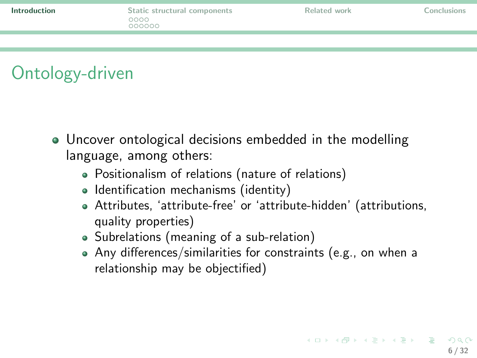<span id="page-5-0"></span>6 / 32

 $\Omega$ 

K ロ X K (日) X X ミ X X ミ X (日) X K (日)

# Ontology-driven

- Uncover ontological decisions embedded in the modelling language, among others:
	- Positionalism of relations (nature of relations)
	- Identification mechanisms (identity)
	- Attributes, 'attribute-free' or 'attribute-hidden' (attributions, quality properties)
	- Subrelations (meaning of a sub-relation)
	- Any differences/similarities for constraints (e.g., on when a relationship may be objectified)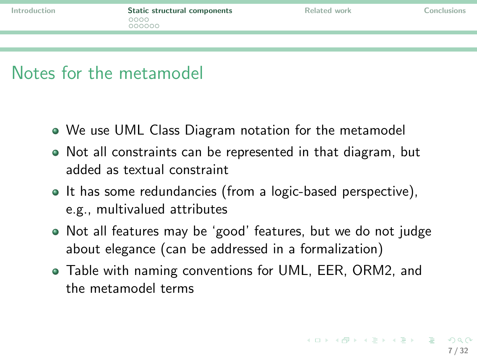## Notes for the metamodel

- We use UML Class Diagram notation for the metamodel
- Not all constraints can be represented in that diagram, but added as textual constraint
- It has some redundancies (from a logic-based perspective), e.g., multivalued attributes
- Not all features may be 'good' features, but we do not judge about elegance (can be addressed in a formalization)
- <span id="page-6-0"></span>Table with naming conventions for UML, EER, ORM2, and the metamodel terms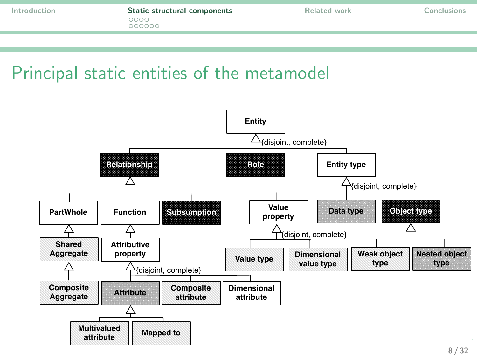## Principal static entities of the metamodel

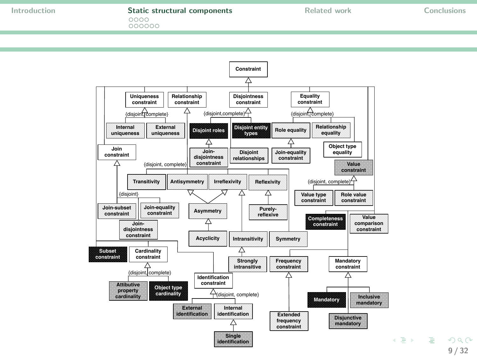#### [Introduction](#page-1-0) **[Static structural components](#page-6-0)** [Related work](#page-23-0) [Conclusions](#page-27-0)<br>  $0000$

 $000000$ 



9 / 32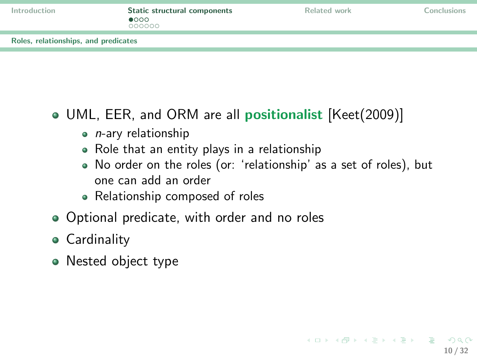| Introduction |  |  |  |  |
|--------------|--|--|--|--|
|              |  |  |  |  |

<span id="page-9-0"></span>10 / 32

KED KARD KED KED E LORO

[Roles, relationships, and predicates](#page-9-0)

#### • UML, EER, and ORM are all **positionalist** [\[Keet\(2009\)\]](#page-30-0)

- $\bullet$  *n*-ary relationship
- Role that an entity plays in a relationship
- No order on the roles (or: 'relationship' as a set of roles), but one can add an order
- Relationship composed of roles
- Optional predicate, with order and no roles
- **Cardinality**
- Nested object type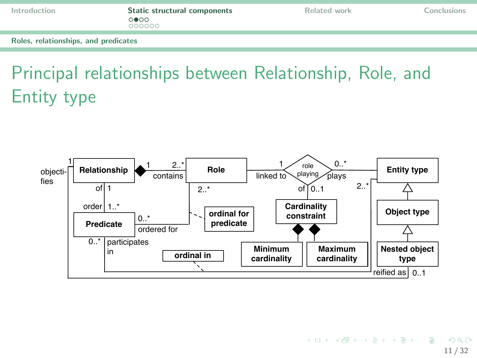[Introduction](#page-1-0) **[Static structural components](#page-6-0)** [Related work](#page-23-0) [Conclusions](#page-27-0)<br>  $\circ \bullet \circ \circ$  $000000$ 

[Roles, relationships, and predicates](#page-10-0)

# Principal relationships between Relationship, Role, and Entity type



<span id="page-10-0"></span>**KORK REPORT AND A SHOP** 11 / 32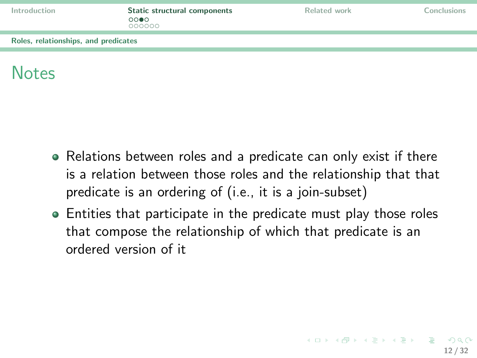| Introduction |  |  |  |  |
|--------------|--|--|--|--|
|              |  |  |  |  |

[Roles, relationships, and predicates](#page-11-0)

# Notes

- Relations between roles and a predicate can only exist if there is a relation between those roles and the relationship that that predicate is an ordering of (i.e., it is a join-subset)
- <span id="page-11-0"></span>Entities that participate in the predicate must play those roles that compose the relationship of which that predicate is an ordered version of it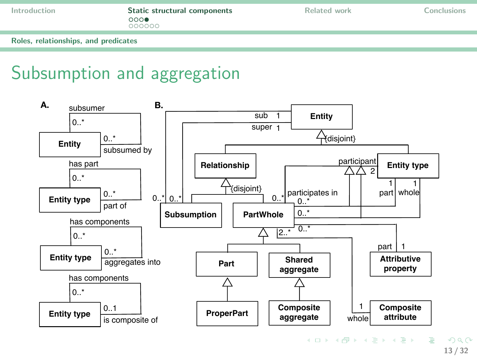[Introduction](#page-1-0) **[Static structural components](#page-6-0)** [Related work](#page-23-0) [Conclusions](#page-27-0)<br>  $000 \bullet$  $000000$ 

[Roles, relationships, and predicates](#page-12-0)

# Subsumption and aggregation



<span id="page-12-0"></span>13 / 32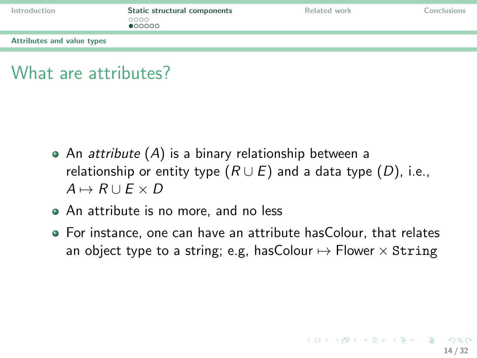| Introduction               | Static structural components<br>0000<br>•00000 | Related work | Conclusions |
|----------------------------|------------------------------------------------|--------------|-------------|
| Attributes and value types |                                                |              |             |
|                            |                                                |              |             |

## What are attributes?

- An *attribute*  $(A)$  is a binary relationship between a relationship or entity type  $(R \cup E)$  and a data type  $(D)$ , i.e.,  $A \mapsto R \cup F \times D$
- An attribute is no more, and no less
- <span id="page-13-0"></span>For instance, one can have an attribute hasColour, that relates an object type to a string; e.g, has Colour  $\mapsto$  Flower  $\times$  String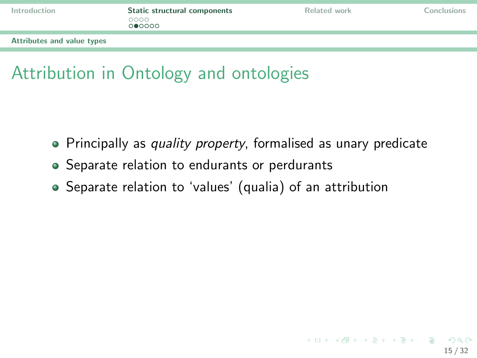|  | Introduction |  |  |  |  |
|--|--------------|--|--|--|--|
|  |              |  |  |  |  |

<span id="page-14-0"></span>

[Attributes and value types](#page-14-0)

# Attribution in Ontology and ontologies

- Principally as quality property, formalised as unary predicate
- Separate relation to endurants or perdurants
- Separate relation to 'values' (qualia) of an attribution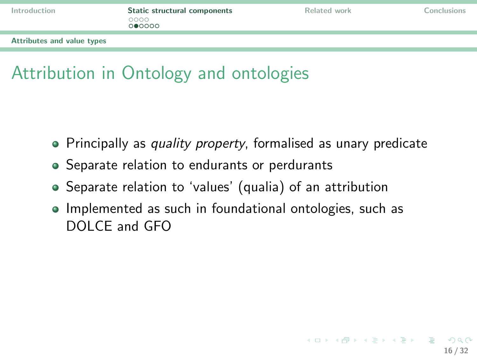| Introduction |  |  |  |  |
|--------------|--|--|--|--|
|              |  |  |  |  |

<span id="page-15-0"></span>

[Attributes and value types](#page-15-0)

# Attribution in Ontology and ontologies

- Principally as quality property, formalised as unary predicate
- Separate relation to endurants or perdurants
- Separate relation to 'values' (qualia) of an attribution
- Implemented as such in foundational ontologies, such as DOLCE and GFO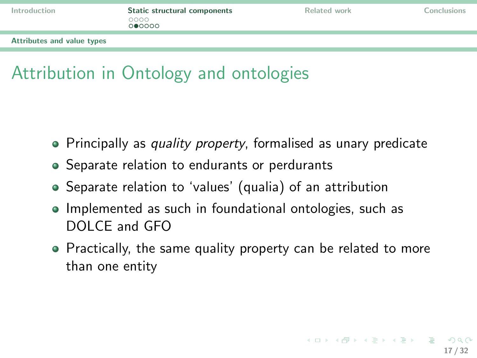|  |  | Introduction |  |
|--|--|--------------|--|
|  |  |              |  |

<span id="page-16-0"></span>

[Attributes and value types](#page-16-0)

# Attribution in Ontology and ontologies

- Principally as quality property, formalised as unary predicate
- Separate relation to endurants or perdurants
- Separate relation to 'values' (qualia) of an attribution
- Implemented as such in foundational ontologies, such as DOLCE and GFO
- Practically, the same quality property can be related to more than one entity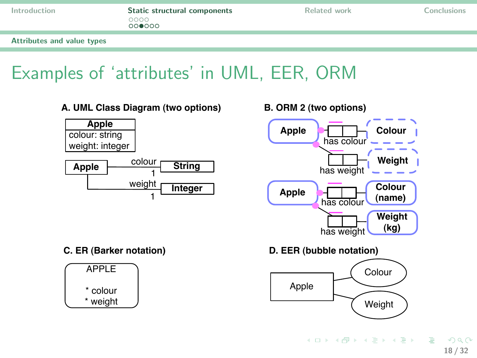| Introduction |  |  |  |
|--------------|--|--|--|
|              |  |  |  |

[Attributes and value types](#page-17-0)

# Examples of 'attributes' in UML, EER, ORM

**A. UML Class Diagram (two options) B. ORM 2 (two options)**





**D. EER (bubble notation)**

<span id="page-17-0"></span>

#### **C. ER (Barker notation)**

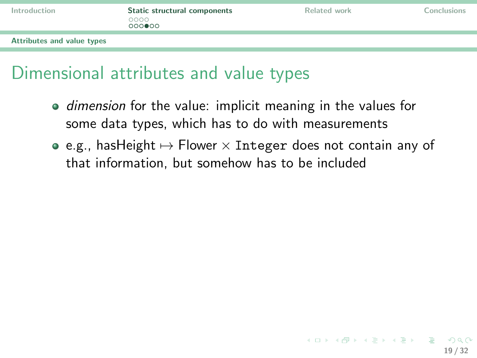|  |  |  | Introduction |  |  |  |
|--|--|--|--------------|--|--|--|
|  |  |  |              |  |  |  |

<span id="page-18-0"></span>19 / 32

K ロ ▶ K 個 ▶ K ヨ ▶ K ヨ ▶ │ ヨ │ めんぴ

[Attributes and value types](#page-18-0)

## Dimensional attributes and value types

- **•** dimension for the value: implicit meaning in the values for some data types, which has to do with measurements
- $\bullet$  e.g., hasHeight  $\mapsto$  Flower  $\times$  Integer does not contain any of that information, but somehow has to be included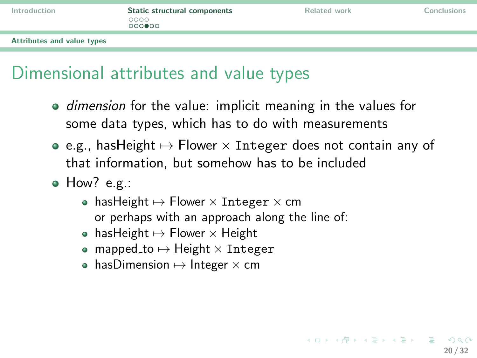| Introduction |  |  |  |  |
|--------------|--|--|--|--|
|              |  |  |  |  |

[Attributes and value types](#page-19-0)

# Dimensional attributes and value types

- **•** dimension for the value: implicit meaning in the values for some data types, which has to do with measurements
- $\bullet$  e.g., hasHeight  $\mapsto$  Flower  $\times$  Integer does not contain any of that information, but somehow has to be included
- <span id="page-19-0"></span>• How? e.g.:
	- hasHeight  $\mapsto$  Flower  $\times$  Integer  $\times$  cm or perhaps with an approach along the line of:
	- $\bullet$  hasHeight  $\mapsto$  Flower  $\times$  Height
	- $\bullet$  mapped\_to  $\mapsto$  Height  $\times$  Integer
	- $\bullet\,$  hasDimension  $\mapsto$  Integer  $\times$  cm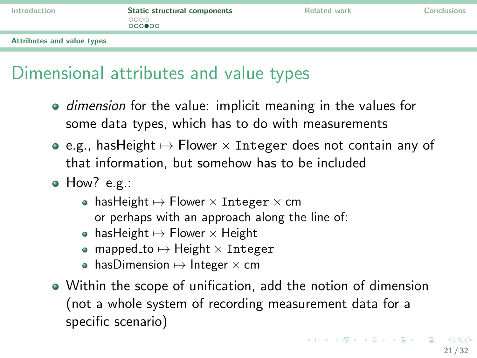| Introduction |  |  |  |  |
|--------------|--|--|--|--|
|              |  |  |  |  |

<span id="page-20-0"></span>

[Attributes and value types](#page-20-0)

# Dimensional attributes and value types

- **•** dimension for the value: implicit meaning in the values for some data types, which has to do with measurements
- $\bullet$  e.g., hasHeight  $\mapsto$  Flower  $\times$  Integer does not contain any of that information, but somehow has to be included
- How? e.g.:
	- hasHeight  $\mapsto$  Flower  $\times$  Integer  $\times$  cm or perhaps with an approach along the line of:
	- hasHeight  $\mapsto$  Flower  $\times$  Height
	- $\bullet$  mapped to  $\mapsto$  Height  $\times$  Integer
	- $\bullet\,$  hasDimension  $\mapsto$  Integer  $\times$  cm
- Within the scope of unification, add the notion of dimension (not a whole system of recording measurement data for a specific scenario)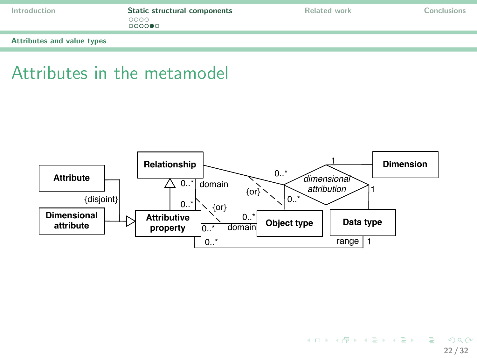| Introduction |  |  |  |  |
|--------------|--|--|--|--|
|              |  |  |  |  |

[Attributes and value types](#page-21-0)

#### Attributes in the metamodel



<span id="page-21-0"></span>KO KARA KE KAEK LE YOKO 22 / 32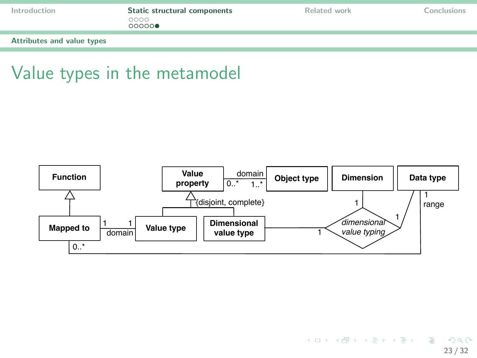| Introduction |  |  |  |  |
|--------------|--|--|--|--|
|              |  |  |  |  |

[Attributes and value types](#page-22-0)

## Value types in the metamodel



<span id="page-22-0"></span>KO KARA KE KAEK LE YOKO 23 / 32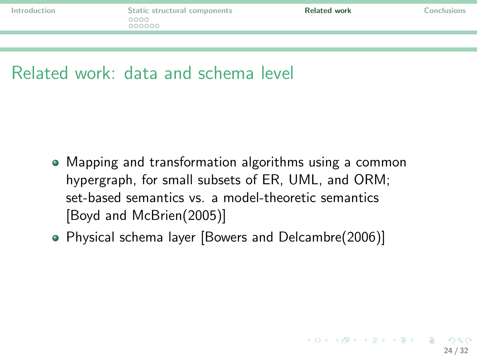## Related work: data and schema level

- Mapping and transformation algorithms using a common hypergraph, for small subsets of ER, UML, and ORM; set-based semantics vs. a model-theoretic semantics [\[Boyd and McBrien\(2005\)\]](#page-29-0)
- <span id="page-23-0"></span>Physical schema layer [\[Bowers and Delcambre\(2006\)\]](#page-29-1)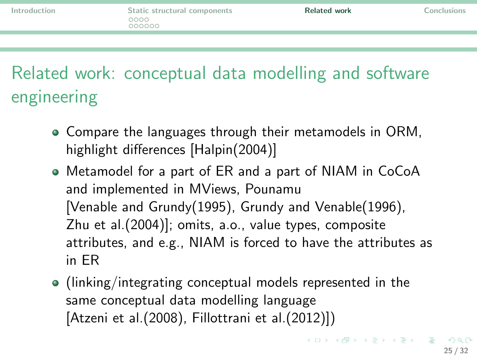Related work: conceptual data modelling and software engineering

- Compare the languages through their metamodels in ORM, highlight differences [\[Halpin\(2004\)\]](#page-30-1)
- Metamodel for a part of ER and a part of NIAM in CoCoA and implemented in MViews, Pounamu [\[Venable and Grundy\(1995\),](#page-31-0) [Grundy and Venable\(1996\),](#page-30-2) [Zhu et al.\(2004\)\]](#page-31-1); omits, a.o., value types, composite attributes, and e.g., NIAM is forced to have the attributes as in ER
- (linking/integrating conceptual models represented in the same conceptual data modelling language [\[Atzeni et al.\(2008\),](#page-29-2) [Fillottrani et al.\(2012\)\]](#page-29-3))

**KORK CREAKER DE VOOR**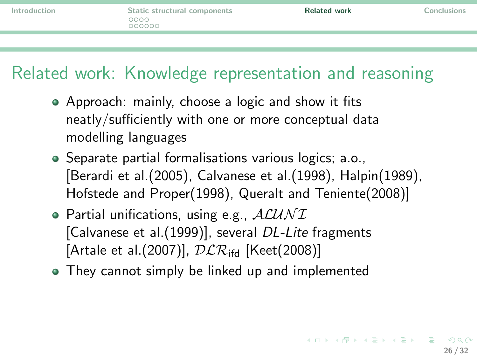# Related work: Knowledge representation and reasoning

- Approach: mainly, choose a logic and show it fits neatly/sufficiently with one or more conceptual data modelling languages
- Separate partial formalisations various logics; a.o., [\[Berardi et al.\(2005\),](#page-29-4) [Calvanese et al.\(1998\),](#page-29-5) [Halpin\(1989\),](#page-30-3) [Hofstede and Proper\(1998\),](#page-30-4) [Queralt and Teniente\(2008\)\]](#page-31-2)
- $\bullet$  Partial unifications, using e.g.,  $ALUNI$ [\[Calvanese et al.\(1999\)\]](#page-29-6), several DL-Lite fragments [Artale et al. (2007)],  $DLR_{\text{ifd}}$  [\[Keet\(2008\)\]](#page-30-5)
- They cannot simply be linked up and implemented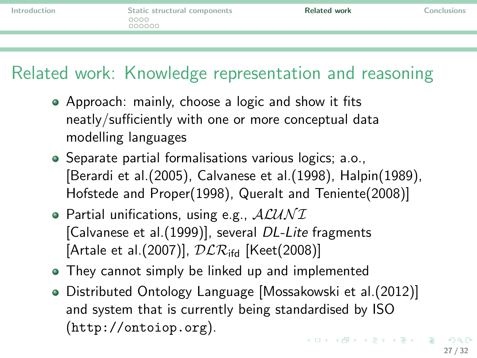# Related work: Knowledge representation and reasoning

- Approach: mainly, choose a logic and show it fits neatly/sufficiently with one or more conceptual data modelling languages
- Separate partial formalisations various logics; a.o., [\[Berardi et al.\(2005\),](#page-29-4) [Calvanese et al.\(1998\),](#page-29-5) [Halpin\(1989\),](#page-30-3) [Hofstede and Proper\(1998\),](#page-30-4) [Queralt and Teniente\(2008\)\]](#page-31-2)
- $\bullet$  Partial unifications, using e.g.,  $ALUNI$ [\[Calvanese et al.\(1999\)\]](#page-29-6), several DL-Lite fragments [Artale et al. (2007)],  $DLR_{\text{ifd}}$  [\[Keet\(2008\)\]](#page-30-5)
- They cannot simply be linked up and implemented
- Distributed Ontology Language [\[Mossakowski et al.\(2012\)\]](#page-31-3) and system that is currently being standardised by ISO (<http://ontoiop.org>). **KORK CREAKER DE VOOR**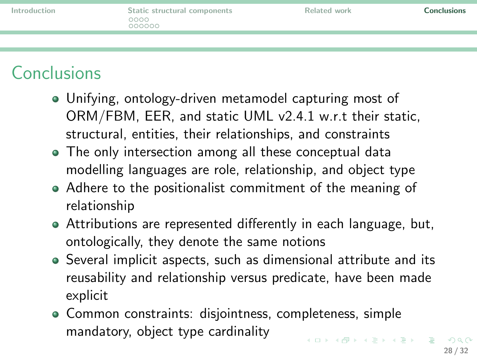|  | Introduction |  |
|--|--------------|--|
|  |              |  |

# **Conclusions**

- Unifying, ontology-driven metamodel capturing most of ORM/FBM, EER, and static UML v2.4.1 w.r.t their static, structural, entities, their relationships, and constraints
- The only intersection among all these conceptual data modelling languages are role, relationship, and object type
- Adhere to the positionalist commitment of the meaning of relationship
- Attributions are represented differently in each language, but, ontologically, they denote the same notions
- Several implicit aspects, such as dimensional attribute and its reusability and relationship versus predicate, have been made explicit
- <span id="page-27-0"></span>• Common constraints: disjointness, completeness, simple mandatory, object type cardinality **KORK CREAKER DE VOOR**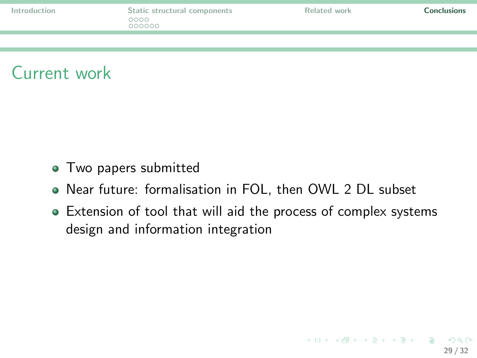|  | Introduction |  |
|--|--------------|--|
|  |              |  |



- Two papers submitted
- Near future: formalisation in FOL, then OWL 2 DL subset
- Extension of tool that will aid the process of complex systems design and information integration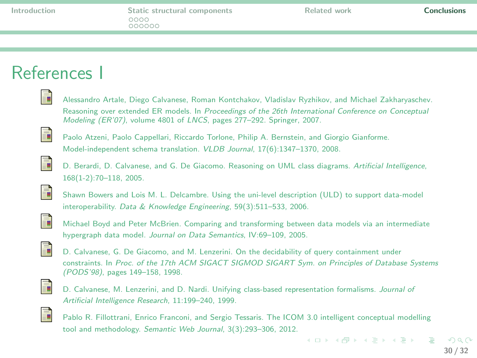## References I

<span id="page-29-7"></span><span id="page-29-4"></span><span id="page-29-2"></span>

|   | Alessandro Artale, Diego Calvanese, Roman Kontchakov, Vladislav Ryzhikov, and Michael Zakharyaschev.                                                                          |
|---|-------------------------------------------------------------------------------------------------------------------------------------------------------------------------------|
|   | Reasoning over extended ER models. In Proceedings of the 26th International Conference on Conceptual<br>Modeling (ER'07), volume 4801 of LNCS, pages 277-292. Springer, 2007. |
| ĥ | Paolo Atzeni, Paolo Cappellari, Riccardo Torlone, Philip A. Bernstein, and Giorgio Gianforme.<br>Model-independent schema translation. VLDB Journal, 17(6):1347-1370, 2008.   |
|   | D. Berardi, D. Calvanese, and G. De Giacomo. Reasoning on UML class diagrams. Artificial Intelligence,<br>$168(1-2):70-118, 2005.$                                            |
| F | Shawn Bowers and Lois M. L. Delcambre. Using the uni-level description (ULD) to support data-model<br>interoperability. Data & Knowledge Engineering, 59(3):511-533, 2006.    |
| 冨 | Michael Boyd and Peter McBrien. Comparing and transforming between data models via an intermediate<br>hypergraph data model. Journal on Data Semantics, IV:69-109, 2005.      |
|   | DOID ODO IMI 'YOU I'HND O' 'Y 'YOU                                                                                                                                            |

<span id="page-29-5"></span><span id="page-29-1"></span><span id="page-29-0"></span>

D. Calvanese, G. De Giacomo, and M. Lenzerini. On the decidability of query containment under constraints. In Proc. of the 17th ACM SIGACT SIGMOD SIGART Sym. on Principles of Database Systems (PODS'98), pages 149–158, 1998.

<span id="page-29-6"></span>

D. Calvanese, M. Lenzerini, and D. Nardi. Unifying class-based representation formalisms. Journal of Artificial Intelligence Research, 11:199–240, 1999.

<span id="page-29-3"></span>

Pablo R. Fillottrani, Enrico Franconi, and Sergio Tessaris. The ICOM 3.0 intelligent conceptual modelling tool and methodology. Semantic Web Journal, 3(3):293–306, 2012.

画

イロト イ押ト イヨト イヨト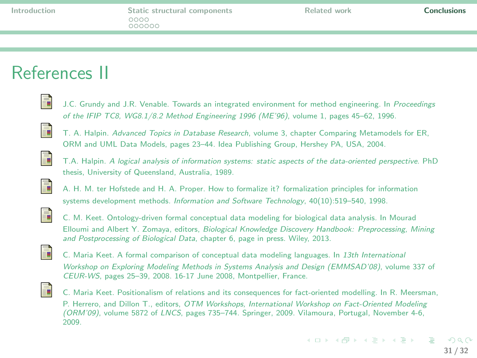## References II

<span id="page-30-2"></span>

J.C. Grundy and J.R. Venable. Towards an integrated environment for method engineering. In Proceedings of the IFIP TC8, WG8.1/8.2 Method Engineering 1996 (ME'96), volume 1, pages 45–62, 1996.

<span id="page-30-1"></span>

T. A. Halpin. Advanced Topics in Database Research, volume 3, chapter Comparing Metamodels for ER, ORM and UML Data Models, pages 23–44. Idea Publishing Group, Hershey PA, USA, 2004.

<span id="page-30-3"></span>

T.A. Halpin. A logical analysis of information systems: static aspects of the data-oriented perspective. PhD thesis, University of Queensland, Australia, 1989.

<span id="page-30-4"></span>

A. H. M. ter Hofstede and H. A. Proper. How to formalize it? formalization principles for information systems development methods. Information and Software Technology, 40(10):519–540, 1998.



C. M. Keet. Ontology-driven formal conceptual data modeling for biological data analysis. In Mourad Elloumi and Albert Y. Zomaya, editors, Biological Knowledge Discovery Handbook: Preprocessing, Mining and Postprocessing of Biological Data, chapter 6, page in press. Wiley, 2013.

<span id="page-30-5"></span>

C. Maria Keet. A formal comparison of conceptual data modeling languages. In 13th International Workshop on Exploring Modeling Methods in Systems Analysis and Design (EMMSAD'08), volume 337 of CEUR-WS, pages 25–39, 2008. 16-17 June 2008, Montpellier, France.

<span id="page-30-0"></span>

C. Maria Keet. Positionalism of relations and its consequences for fact-oriented modelling. In R. Meersman, P. Herrero, and Dillon T., editors, OTM Workshops, International Workshop on Fact-Oriented Modeling (ORM'09), volume 5872 of LNCS, pages 735–744. Springer, 2009. Vilamoura, Portugal, November 4-6, 2009.